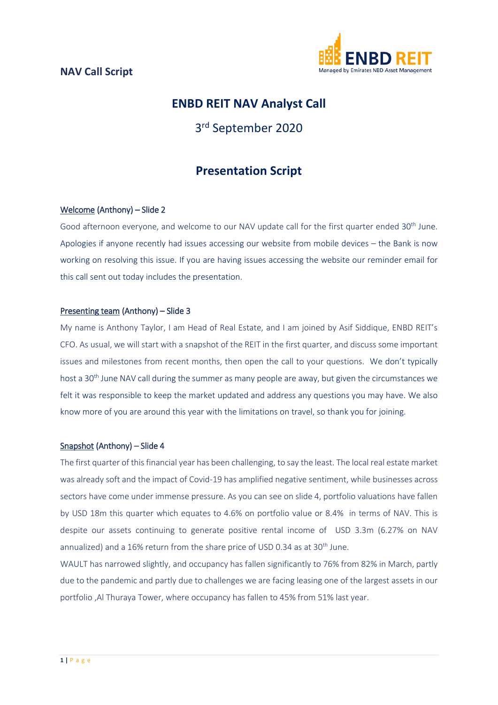

## **ENBD REIT NAV Analyst Call**

# 3rd September 2020

## **Presentation Script**

#### Welcome (Anthony) – Slide 2

Good afternoon everyone, and welcome to our NAV update call for the first quarter ended 30<sup>th</sup> June. Apologies if anyone recently had issues accessing our website from mobile devices – the Bank is now working on resolving this issue. If you are having issues accessing the website our reminder email for this call sent out today includes the presentation.

#### Presenting team (Anthony) – Slide 3

My name is Anthony Taylor, I am Head of Real Estate, and I am joined by Asif Siddique, ENBD REIT's CFO. As usual, we will start with a snapshot of the REIT in the first quarter, and discuss some important issues and milestones from recent months, then open the call to your questions. We don't typically host a 30<sup>th</sup> June NAV call during the summer as many people are away, but given the circumstances we felt it was responsible to keep the market updated and address any questions you may have. We also know more of you are around this year with the limitations on travel, so thank you for joining.

#### Snapshot (Anthony) – Slide 4

The first quarter of this financial year has been challenging, to say the least. The local real estate market was already soft and the impact of Covid-19 has amplified negative sentiment, while businesses across sectors have come under immense pressure. As you can see on slide 4, portfolio valuations have fallen by USD 18m this quarter which equates to 4.6% on portfolio value or 8.4% in terms of NAV. This is despite our assets continuing to generate positive rental income of USD 3.3m (6.27% on NAV annualized) and a 16% return from the share price of USD 0.34 as at 30<sup>th</sup> June.

WAULT has narrowed slightly, and occupancy has fallen significantly to 76% from 82% in March, partly due to the pandemic and partly due to challenges we are facing leasing one of the largest assets in our portfolio ,Al Thuraya Tower, where occupancy has fallen to 45% from 51% last year.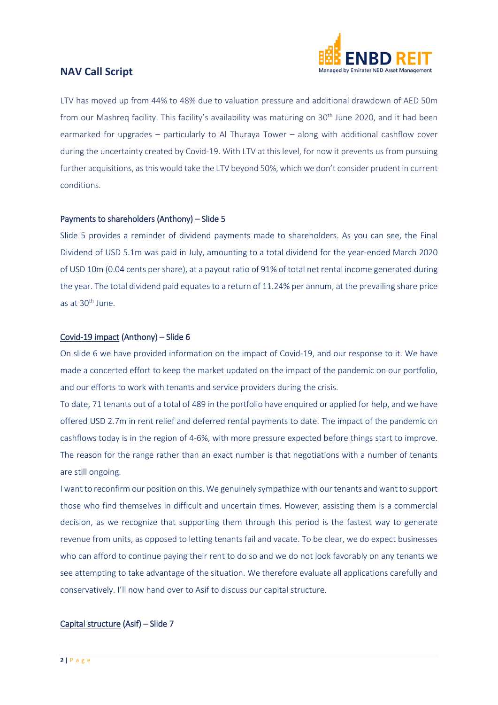

LTV has moved up from 44% to 48% due to valuation pressure and additional drawdown of AED 50m from our Mashreg facility. This facility's availability was maturing on 30<sup>th</sup> June 2020, and it had been earmarked for upgrades – particularly to Al Thuraya Tower – along with additional cashflow cover during the uncertainty created by Covid-19. With LTV at this level, for now it prevents us from pursuing further acquisitions, as this would take the LTV beyond 50%, which we don't consider prudent in current conditions.

#### Payments to shareholders (Anthony) – Slide 5

Slide 5 provides a reminder of dividend payments made to shareholders. As you can see, the Final Dividend of USD 5.1m was paid in July, amounting to a total dividend for the year-ended March 2020 of USD 10m (0.04 cents per share), at a payout ratio of 91% of total net rental income generated during the year. The total dividend paid equates to a return of 11.24% per annum, at the prevailing share price as at 30<sup>th</sup> June.

#### Covid-19 impact (Anthony) – Slide 6

On slide 6 we have provided information on the impact of Covid-19, and our response to it. We have made a concerted effort to keep the market updated on the impact of the pandemic on our portfolio, and our efforts to work with tenants and service providers during the crisis.

To date, 71 tenants out of a total of 489 in the portfolio have enquired or applied for help, and we have offered USD 2.7m in rent relief and deferred rental payments to date. The impact of the pandemic on cashflows today is in the region of 4-6%, with more pressure expected before things start to improve. The reason for the range rather than an exact number is that negotiations with a number of tenants are still ongoing.

I want to reconfirm our position on this. We genuinely sympathize with our tenants and want to support those who find themselves in difficult and uncertain times. However, assisting them is a commercial decision, as we recognize that supporting them through this period is the fastest way to generate revenue from units, as opposed to letting tenants fail and vacate. To be clear, we do expect businesses who can afford to continue paying their rent to do so and we do not look favorably on any tenants we see attempting to take advantage of the situation. We therefore evaluate all applications carefully and conservatively. I'll now hand over to Asif to discuss our capital structure.

#### Capital structure (Asif) – Slide 7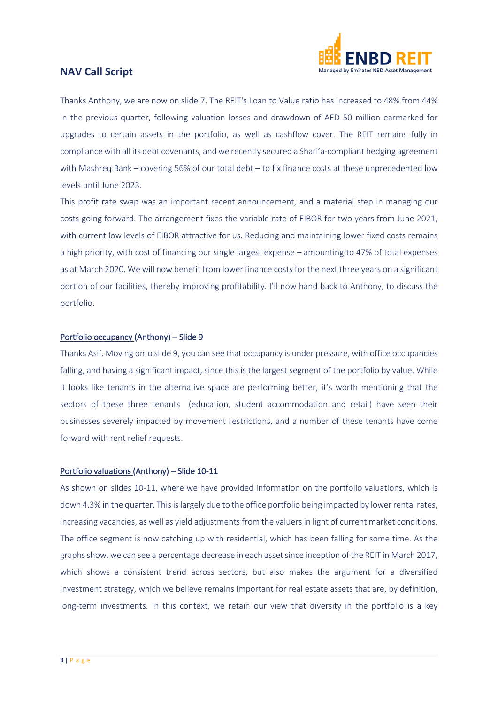

Thanks Anthony, we are now on slide 7. The REIT's Loan to Value ratio has increased to 48% from 44% in the previous quarter, following valuation losses and drawdown of AED 50 million earmarked for upgrades to certain assets in the portfolio, as well as cashflow cover. The REIT remains fully in compliance with all its debt covenants, and we recently secured a Shari'a-compliant hedging agreement with Mashreq Bank – covering 56% of our total debt – to fix finance costs at these unprecedented low levels until June 2023.

This profit rate swap was an important recent announcement, and a material step in managing our costs going forward. The arrangement fixes the variable rate of EIBOR for two years from June 2021, with current low levels of EIBOR attractive for us. Reducing and maintaining lower fixed costs remains a high priority, with cost of financing our single largest expense – amounting to 47% of total expenses as at March 2020. We will now benefit from lower finance costs for the next three years on a significant portion of our facilities, thereby improving profitability. I'll now hand back to Anthony, to discuss the portfolio.

#### Portfolio occupancy (Anthony) – Slide 9

Thanks Asif. Moving onto slide 9, you can see that occupancy is under pressure, with office occupancies falling, and having a significant impact, since this is the largest segment of the portfolio by value. While it looks like tenants in the alternative space are performing better, it's worth mentioning that the sectors of these three tenants (education, student accommodation and retail) have seen their businesses severely impacted by movement restrictions, and a number of these tenants have come forward with rent relief requests.

#### Portfolio valuations (Anthony) – Slide 10-11

As shown on slides 10-11, where we have provided information on the portfolio valuations, which is down 4.3% in the quarter. This is largely due to the office portfolio being impacted by lower rental rates, increasing vacancies, as well as yield adjustments from the valuers in light of current market conditions. The office segment is now catching up with residential, which has been falling for some time. As the graphs show, we can see a percentage decrease in each asset since inception of the REIT in March 2017, which shows a consistent trend across sectors, but also makes the argument for a diversified investment strategy, which we believe remains important for real estate assets that are, by definition, long-term investments. In this context, we retain our view that diversity in the portfolio is a key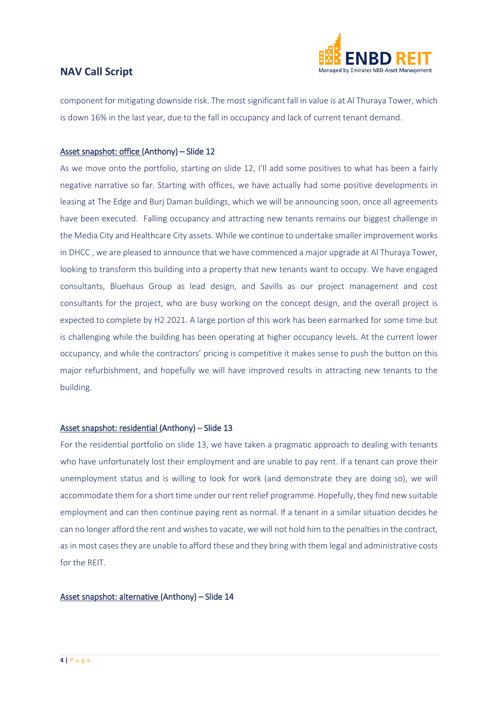

component for mitigating downside risk. The most significant fall in value is at Al Thuraya Tower, which is down 16% in the last year, due to the fall in occupancy and lack of current tenant demand.

#### Asset snapshot: office (Anthony) – Slide 12

As we move onto the portfolio, starting on slide 12, I'll add some positives to what has been a fairly negative narrative so far. Starting with offices, we have actually had some positive developments in leasing at The Edge and Burj Daman buildings, which we will be announcing soon, once all agreements have been executed. Falling occupancy and attracting new tenants remains our biggest challenge in the Media City and Healthcare City assets. While we continue to undertake smaller improvement works in DHCC , we are pleased to announce that we have commenced a major upgrade at Al Thuraya Tower, looking to transform this building into a property that new tenants want to occupy. We have engaged consultants, Bluehaus Group as lead design, and Savills as our project management and cost consultants for the project, who are busy working on the concept design, and the overall project is expected to complete by H2 2021. A large portion of this work has been earmarked for some time but is challenging while the building has been operating at higher occupancy levels. At the current lower occupancy, and while the contractors' pricing is competitive it makes sense to push the button on this major refurbishment, and hopefully we will have improved results in attracting new tenants to the building.

#### Asset snapshot: residential (Anthony) – Slide 13

For the residential portfolio on slide 13, we have taken a pragmatic approach to dealing with tenants who have unfortunately lost their employment and are unable to pay rent. If a tenant can prove their unemployment status and is willing to look for work (and demonstrate they are doing so), we will accommodate them for a short time under our rent relief programme. Hopefully, they find new suitable employment and can then continue paying rent as normal. If a tenant in a similar situation decides he can no longer afford the rent and wishes to vacate, we will not hold him to the penalties in the contract, as in most cases they are unable to afford these and they bring with them legal and administrative costs for the REIT.

#### Asset snapshot: alternative (Anthony) – Slide 14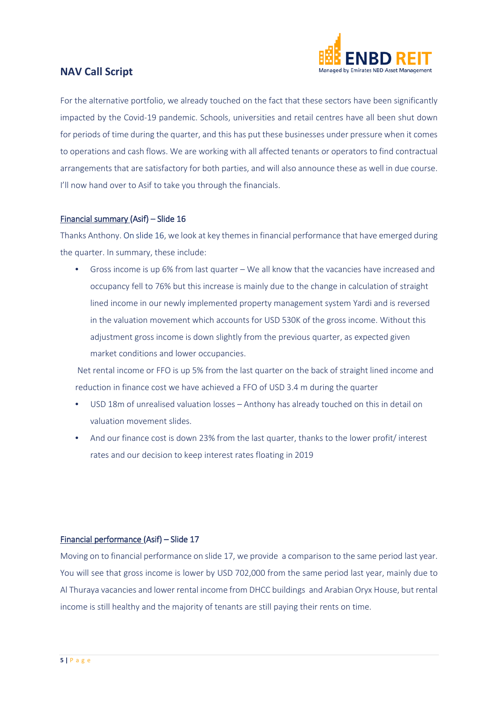

For the alternative portfolio, we already touched on the fact that these sectors have been significantly impacted by the Covid-19 pandemic. Schools, universities and retail centres have all been shut down for periods of time during the quarter, and this has put these businesses under pressure when it comes to operations and cash flows. We are working with all affected tenants or operators to find contractual arrangements that are satisfactory for both parties, and will also announce these as well in due course. I'll now hand over to Asif to take you through the financials.

#### Financial summary (Asif) – Slide 16

Thanks Anthony. On slide 16, we look at key themes in financial performance that have emerged during the quarter. In summary, these include:

• Gross income is up 6% from last quarter – We all know that the vacancies have increased and occupancy fell to 76% but this increase is mainly due to the change in calculation of straight lined income in our newly implemented property management system Yardi and is reversed in the valuation movement which accounts for USD 530K of the gross income. Without this adjustment gross income is down slightly from the previous quarter, as expected given market conditions and lower occupancies.

Net rental income or FFO is up 5% from the last quarter on the back of straight lined income and reduction in finance cost we have achieved a FFO of USD 3.4 m during the quarter

- USD 18m of unrealised valuation losses Anthony has already touched on this in detail on valuation movement slides.
- And our finance cost is down 23% from the last quarter, thanks to the lower profit/ interest rates and our decision to keep interest rates floating in 2019

#### Financial performance (Asif) – Slide 17

Moving on to financial performance on slide 17, we provide a comparison to the same period last year. You will see that gross income is lower by USD 702,000 from the same period last year, mainly due to Al Thuraya vacancies and lower rental income from DHCC buildings and Arabian Oryx House, but rental income is still healthy and the majority of tenants are still paying their rents on time.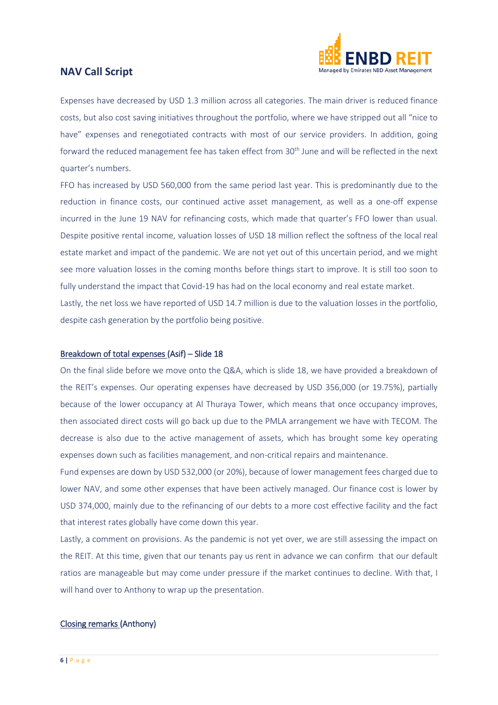

Expenses have decreased by USD 1.3 million across all categories. The main driver is reduced finance costs, but also cost saving initiatives throughout the portfolio, where we have stripped out all "nice to have" expenses and renegotiated contracts with most of our service providers. In addition, going forward the reduced management fee has taken effect from 30<sup>th</sup> June and will be reflected in the next quarter's numbers.

FFO has increased by USD 560,000 from the same period last year. This is predominantly due to the reduction in finance costs, our continued active asset management, as well as a one-off expense incurred in the June 19 NAV for refinancing costs, which made that quarter's FFO lower than usual. Despite positive rental income, valuation losses of USD 18 million reflect the softness of the local real estate market and impact of the pandemic. We are not yet out of this uncertain period, and we might see more valuation losses in the coming months before things start to improve. It is still too soon to fully understand the impact that Covid-19 has had on the local economy and real estate market.

Lastly, the net loss we have reported of USD 14.7 million is due to the valuation losses in the portfolio, despite cash generation by the portfolio being positive.

#### Breakdown of total expenses (Asif) – Slide 18

On the final slide before we move onto the Q&A, which is slide 18, we have provided a breakdown of the REIT's expenses. Our operating expenses have decreased by USD 356,000 (or 19.75%), partially because of the lower occupancy at Al Thuraya Tower, which means that once occupancy improves, then associated direct costs will go back up due to the PMLA arrangement we have with TECOM. The decrease is also due to the active management of assets, which has brought some key operating expenses down such as facilities management, and non-critical repairs and maintenance.

Fund expenses are down by USD 532,000 (or 20%), because of lower management fees charged due to lower NAV, and some other expenses that have been actively managed. Our finance cost is lower by USD 374,000, mainly due to the refinancing of our debts to a more cost effective facility and the fact that interest rates globally have come down this year.

Lastly, a comment on provisions. As the pandemic is not yet over, we are still assessing the impact on the REIT. At this time, given that our tenants pay us rent in advance we can confirm that our default ratios are manageable but may come under pressure if the market continues to decline. With that, I will hand over to Anthony to wrap up the presentation.

#### Closing remarks (Anthony)